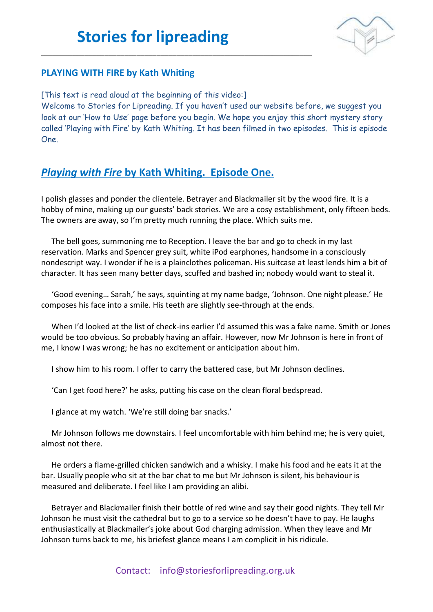\_\_\_\_\_\_\_\_\_\_\_\_\_\_\_\_\_\_\_\_\_\_\_\_\_\_\_\_\_\_\_\_\_\_\_\_\_\_\_\_\_\_\_\_\_\_\_\_\_\_\_\_\_\_\_\_\_\_\_\_\_\_\_\_\_\_\_\_



### **PLAYING WITH FIRE by Kath Whiting**

[This text is read aloud at the beginning of this video:]

Welcome to Stories for Lipreading. If you haven't used our website before, we suggest you look at our 'How to Use' page before you begin. We hope you enjoy this short mystery story called 'Playing with Fire' by Kath Whiting. It has been filmed in two episodes. This is episode One.

### *Playing with Fire* **by Kath Whiting. Episode One.**

I polish glasses and ponder the clientele. Betrayer and Blackmailer sit by the wood fire. It is a hobby of mine, making up our guests' back stories. We are a cosy establishment, only fifteen beds. The owners are away, so I'm pretty much running the place. Which suits me.

The bell goes, summoning me to Reception. I leave the bar and go to check in my last reservation. Marks and Spencer grey suit, white iPod earphones, handsome in a consciously nondescript way. I wonder if he is a plainclothes policeman. His suitcase at least lends him a bit of character. It has seen many better days, scuffed and bashed in; nobody would want to steal it.

'Good evening… Sarah,' he says, squinting at my name badge, 'Johnson. One night please.' He composes his face into a smile. His teeth are slightly see-through at the ends.

When I'd looked at the list of check-ins earlier I'd assumed this was a fake name. Smith or Jones would be too obvious. So probably having an affair. However, now Mr Johnson is here in front of me, I know I was wrong; he has no excitement or anticipation about him.

I show him to his room. I offer to carry the battered case, but Mr Johnson declines.

'Can I get food here?' he asks, putting his case on the clean floral bedspread.

I glance at my watch. 'We're still doing bar snacks.'

Mr Johnson follows me downstairs. I feel uncomfortable with him behind me; he is very quiet, almost not there.

He orders a flame-grilled chicken sandwich and a whisky. I make his food and he eats it at the bar. Usually people who sit at the bar chat to me but Mr Johnson is silent, his behaviour is measured and deliberate. I feel like I am providing an alibi.

Betrayer and Blackmailer finish their bottle of red wine and say their good nights. They tell Mr Johnson he must visit the cathedral but to go to a service so he doesn't have to pay. He laughs enthusiastically at Blackmailer's joke about God charging admission. When they leave and Mr Johnson turns back to me, his briefest glance means I am complicit in his ridicule.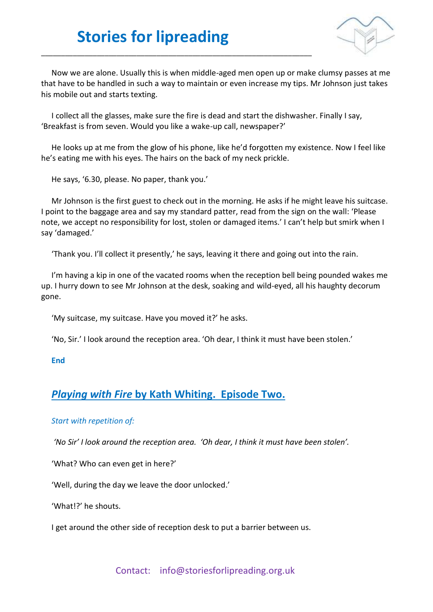\_\_\_\_\_\_\_\_\_\_\_\_\_\_\_\_\_\_\_\_\_\_\_\_\_\_\_\_\_\_\_\_\_\_\_\_\_\_\_\_\_\_\_\_\_\_\_\_\_\_\_\_\_\_\_\_\_\_\_\_\_\_\_\_\_\_\_\_



Now we are alone. Usually this is when middle-aged men open up or make clumsy passes at me that have to be handled in such a way to maintain or even increase my tips. Mr Johnson just takes his mobile out and starts texting.

I collect all the glasses, make sure the fire is dead and start the dishwasher. Finally I say, 'Breakfast is from seven. Would you like a wake-up call, newspaper?'

He looks up at me from the glow of his phone, like he'd forgotten my existence. Now I feel like he's eating me with his eyes. The hairs on the back of my neck prickle.

He says, '6.30, please. No paper, thank you.'

Mr Johnson is the first guest to check out in the morning. He asks if he might leave his suitcase. I point to the baggage area and say my standard patter, read from the sign on the wall: 'Please note, we accept no responsibility for lost, stolen or damaged items.' I can't help but smirk when I say 'damaged.'

'Thank you. I'll collect it presently,' he says, leaving it there and going out into the rain.

I'm having a kip in one of the vacated rooms when the reception bell being pounded wakes me up. I hurry down to see Mr Johnson at the desk, soaking and wild-eyed, all his haughty decorum gone.

'My suitcase, my suitcase. Have you moved it?' he asks.

'No, Sir.' I look around the reception area. 'Oh dear, I think it must have been stolen.'

#### **End**

### *Playing with Fire* **by Kath Whiting. Episode Two.**

#### *Start with repetition of:*

*'No Sir' I look around the reception area. 'Oh dear, I think it must have been stolen'.*

'What? Who can even get in here?'

'Well, during the day we leave the door unlocked.'

'What!?' he shouts.

I get around the other side of reception desk to put a barrier between us.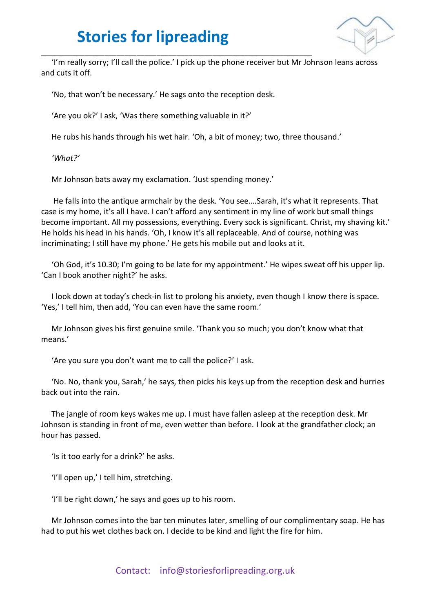

'I'm really sorry; I'll call the police.' I pick up the phone receiver but Mr Johnson leans across and cuts it off.

'No, that won't be necessary.' He sags onto the reception desk.

\_\_\_\_\_\_\_\_\_\_\_\_\_\_\_\_\_\_\_\_\_\_\_\_\_\_\_\_\_\_\_\_\_\_\_\_\_\_\_\_\_\_\_\_\_\_\_\_\_\_\_\_\_\_\_\_\_\_\_\_\_\_\_\_\_\_\_\_

'Are you ok?' I ask, 'Was there something valuable in it?'

He rubs his hands through his wet hair. 'Oh, a bit of money; two, three thousand.'

*'What?'*

Mr Johnson bats away my exclamation. 'Just spending money.'

He falls into the antique armchair by the desk. 'You see….Sarah, it's what it represents. That case is my home, it's all I have. I can't afford any sentiment in my line of work but small things become important. All my possessions, everything. Every sock is significant. Christ, my shaving kit.' He holds his head in his hands. 'Oh, I know it's all replaceable. And of course, nothing was incriminating; I still have my phone.' He gets his mobile out and looks at it.

'Oh God, it's 10.30; I'm going to be late for my appointment.' He wipes sweat off his upper lip. 'Can I book another night?' he asks.

I look down at today's check-in list to prolong his anxiety, even though I know there is space. 'Yes,' I tell him, then add, 'You can even have the same room.'

Mr Johnson gives his first genuine smile. 'Thank you so much; you don't know what that means.'

'Are you sure you don't want me to call the police?' I ask.

'No. No, thank you, Sarah,' he says, then picks his keys up from the reception desk and hurries back out into the rain.

The jangle of room keys wakes me up. I must have fallen asleep at the reception desk. Mr Johnson is standing in front of me, even wetter than before. I look at the grandfather clock; an hour has passed.

'Is it too early for a drink?' he asks.

'I'll open up,' I tell him, stretching.

'I'll be right down,' he says and goes up to his room.

Mr Johnson comes into the bar ten minutes later, smelling of our complimentary soap. He has had to put his wet clothes back on. I decide to be kind and light the fire for him.